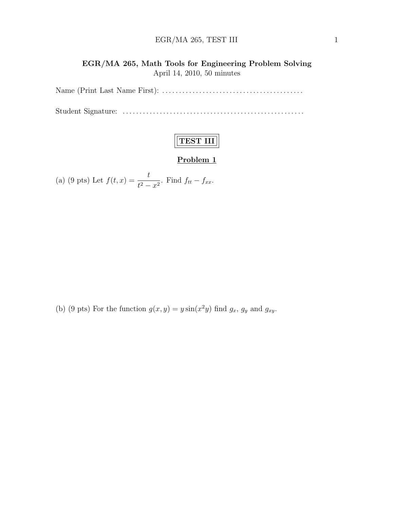#### $EGR/MA$  265, TEST III 1

#### EGR/MA 265, Math Tools for Engineering Problem Solving April 14, 2010, 50 minutes

Name (Print Last Name First): . . . . . . . . . . . . . . . . . . . . . . . . . . . . . . . . . . . . . . . . . .

Student Signature: . . . . . . . . . . . . . . . . . . . . . . . . . . . . . . . . . . . . . . . . . . . . . . . . . . . . . .

## TEST III

#### Problem 1

(a) (9 pts) Let 
$$
f(t, x) = \frac{t}{t^2 - x^2}
$$
. Find  $f_{tt} - f_{xx}$ .

(b) (9 pts) For the function  $g(x, y) = y \sin(x^2 y)$  find  $g_x$ ,  $g_y$  and  $g_{xy}$ .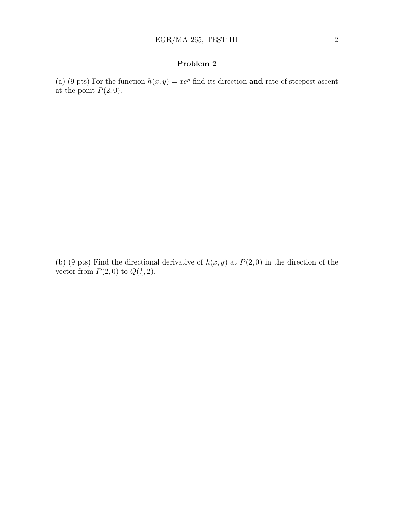### Problem 2

(a) (9 pts) For the function  $h(x, y) = xe^y$  find its direction and rate of steepest ascent at the point  $P(2, 0)$ .

(b) (9 pts) Find the directional derivative of  $h(x, y)$  at  $P(2, 0)$  in the direction of the vector from  $P(2,0)$  to  $Q(\frac{1}{2})$  $(\frac{1}{2}, 2).$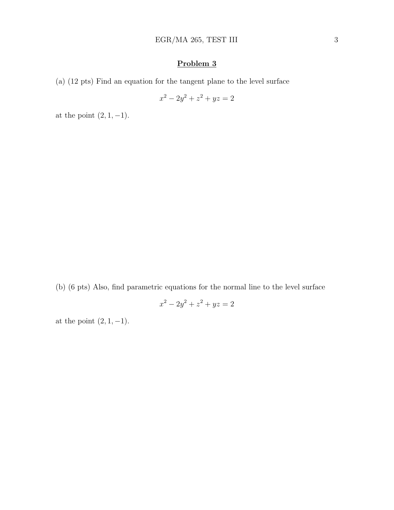### Problem 3

(a) (12 pts) Find an equation for the tangent plane to the level surface

$$
x^2 - 2y^2 + z^2 + yz = 2
$$

at the point  $(2, 1, -1)$ .

(b) (6 pts) Also, find parametric equations for the normal line to the level surface

$$
x^2 - 2y^2 + z^2 + yz = 2
$$

at the point  $(2, 1, -1)$ .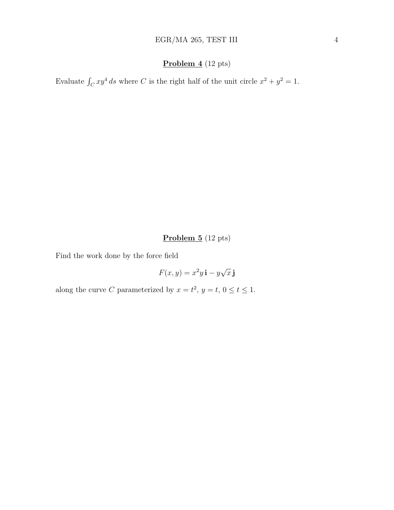#### Problem 4 (12 pts)

Evaluate  $\int_C xy^4 ds$  where C is the right half of the unit circle  $x^2 + y^2 = 1$ .

Problem 5 (12 pts)

Find the work done by the force field

$$
F(x, y) = x^2 y \mathbf{i} - y\sqrt{x} \mathbf{j}
$$

along the curve C parameterized by  $x = t^2$ ,  $y = t$ ,  $0 \le t \le 1$ .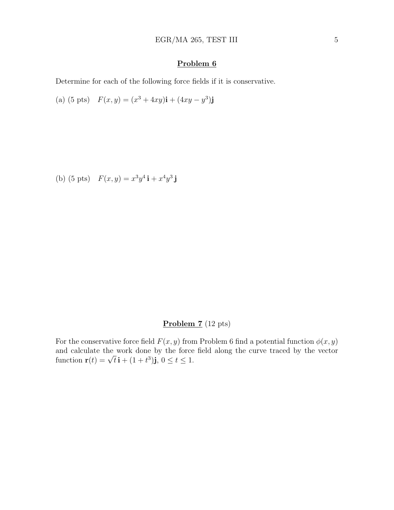#### Problem 6

Determine for each of the following force fields if it is conservative.

(a) (5 pts)  $F(x, y) = (x^3 + 4xy)\mathbf{i} + (4xy - y^3)\mathbf{j}$ 

(b) (5 pts)  $F(x, y) = x^3 y^4 \mathbf{i} + x^4 y^3 \mathbf{j}$ 

#### Problem 7 (12 pts)

For the conservative force field  $F(x, y)$  from Problem 6 find a potential function  $\phi(x, y)$ and calculate the work done by the force field along the curve traced by the vector and calculate the work done by the force<br>function  $\mathbf{r}(t) = \sqrt{t} \, \mathbf{i} + (1+t^3) \mathbf{j}$ ,  $0 \le t \le 1$ .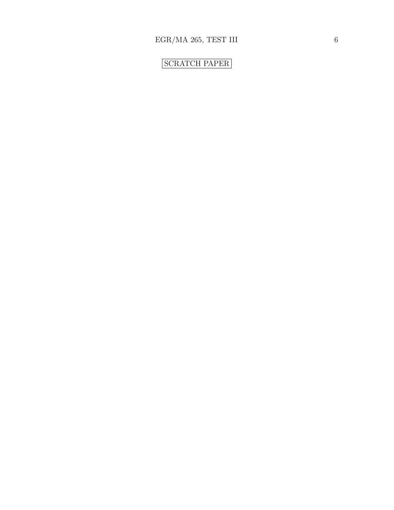# SCRATCH PAPER